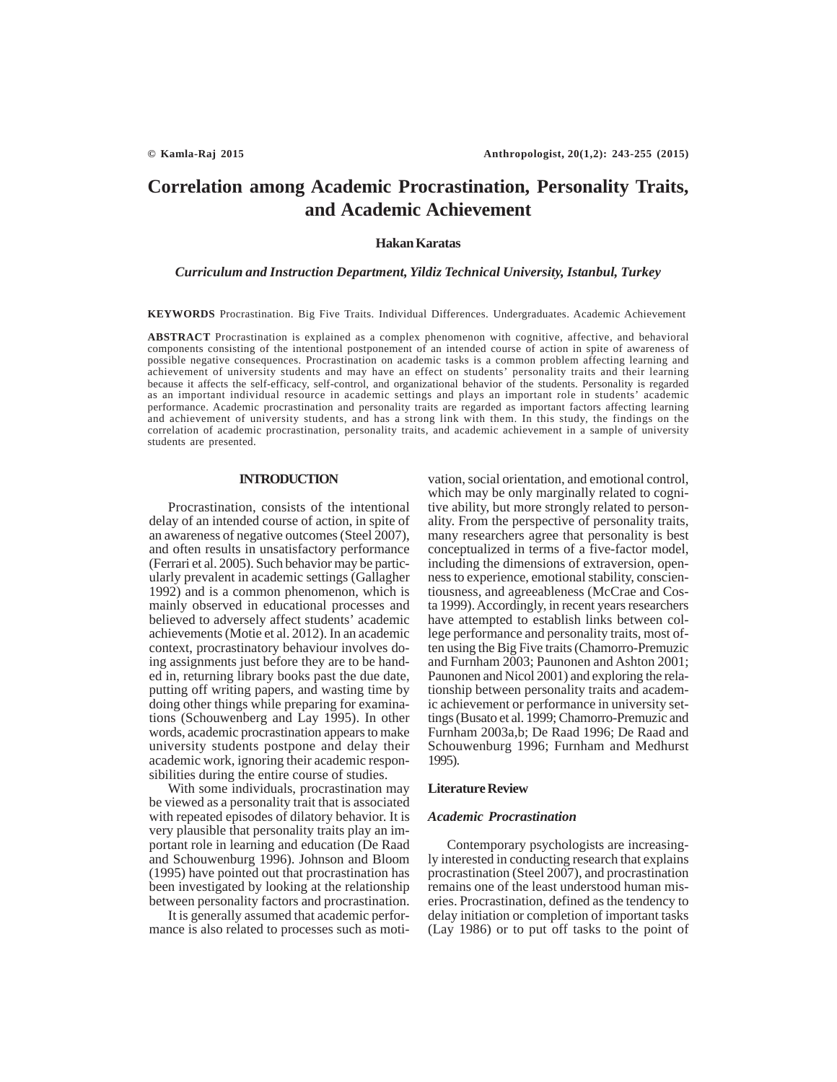# **Correlation among Academic Procrastination, Personality Traits, and Academic Achievement**

### **Hakan Karatas**

# *Curriculum and Instruction Department, Yildiz Technical University, Istanbul, Turkey*

**KEYWORDS** Procrastination. Big Five Traits. Individual Differences. Undergraduates. Academic Achievement

**ABSTRACT** Procrastination is explained as a complex phenomenon with cognitive, affective, and behavioral components consisting of the intentional postponement of an intended course of action in spite of awareness of possible negative consequences. Procrastination on academic tasks is a common problem affecting learning and achievement of university students and may have an effect on students' personality traits and their learning because it affects the self-efficacy, self-control, and organizational behavior of the students. Personality is regarded as an important individual resource in academic settings and plays an important role in students' academic performance. Academic procrastination and personality traits are regarded as important factors affecting learning and achievement of university students, and has a strong link with them. In this study, the findings on the correlation of academic procrastination, personality traits, and academic achievement in a sample of university students are presented.

#### **INTRODUCTION**

Procrastination, consists of the intentional delay of an intended course of action, in spite of an awareness of negative outcomes (Steel 2007), and often results in unsatisfactory performance (Ferrari et al. 2005). Such behavior may be particularly prevalent in academic settings (Gallagher 1992) and is a common phenomenon, which is mainly observed in educational processes and believed to adversely affect students' academic achievements (Motie et al. 2012). In an academic context, procrastinatory behaviour involves doing assignments just before they are to be handed in, returning library books past the due date, putting off writing papers, and wasting time by doing other things while preparing for examinations (Schouwenberg and Lay 1995). In other words, academic procrastination appears to make university students postpone and delay their academic work, ignoring their academic responsibilities during the entire course of studies.

With some individuals, procrastination may be viewed as a personality trait that is associated with repeated episodes of dilatory behavior. It is very plausible that personality traits play an important role in learning and education (De Raad and Schouwenburg 1996). Johnson and Bloom (1995) have pointed out that procrastination has been investigated by looking at the relationship between personality factors and procrastination.

It is generally assumed that academic performance is also related to processes such as motivation, social orientation, and emotional control, which may be only marginally related to cognitive ability, but more strongly related to personality. From the perspective of personality traits, many researchers agree that personality is best conceptualized in terms of a five-factor model, including the dimensions of extraversion, openness to experience, emotional stability, conscientiousness, and agreeableness (McCrae and Costa 1999). Accordingly, in recent years researchers have attempted to establish links between college performance and personality traits, most often using the Big Five traits (Chamorro-Premuzic and Furnham 2003; Paunonen and Ashton 2001; Paunonen and Nicol 2001) and exploring the relationship between personality traits and academic achievement or performance in university settings (Busato et al. 1999; Chamorro-Premuzic and Furnham 2003a,b; De Raad 1996; De Raad and Schouwenburg 1996; Furnham and Medhurst 1995).

#### **Literature Review**

#### *Academic Procrastination*

Contemporary psychologists are increasingly interested in conducting research that explains procrastination (Steel 2007), and procrastination remains one of the least understood human miseries. Procrastination, defined as the tendency to delay initiation or completion of important tasks (Lay 1986) or to put off tasks to the point of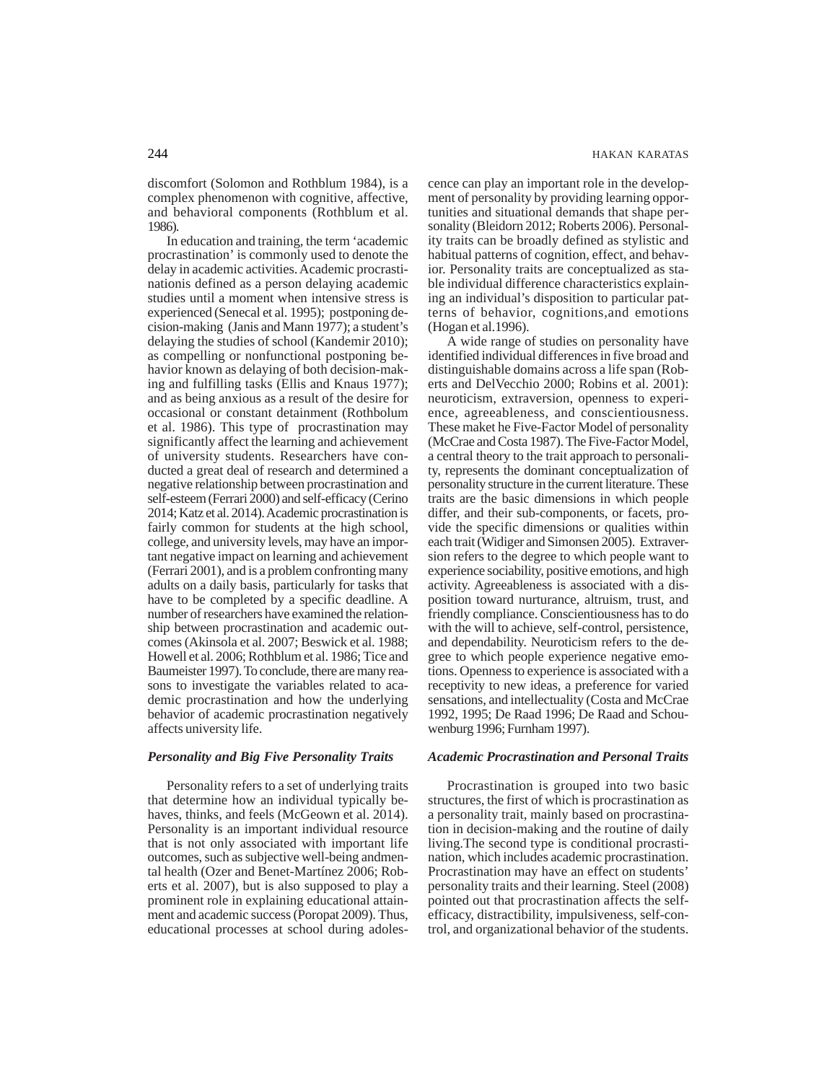discomfort (Solomon and Rothblum 1984), is a complex phenomenon with cognitive, affective, and behavioral components (Rothblum et al. 1986).

In education and training, the term 'academic procrastination' is commonly used to denote the delay in academic activities. Academic procrastinationis defined as a person delaying academic studies until a moment when intensive stress is experienced (Senecal et al. 1995); postponing decision-making (Janis and Mann 1977); a student's delaying the studies of school (Kandemir 2010); as compelling or nonfunctional postponing behavior known as delaying of both decision-making and fulfilling tasks (Ellis and Knaus 1977); and as being anxious as a result of the desire for occasional or constant detainment (Rothbolum et al. 1986). This type of procrastination may significantly affect the learning and achievement of university students. Researchers have conducted a great deal of research and determined a negative relationship between procrastination and self-esteem (Ferrari 2000) and self-efficacy (Cerino 2014; Katz et al. 2014). Academic procrastination is fairly common for students at the high school, college, and university levels, may have an important negative impact on learning and achievement (Ferrari 2001), and is a problem confronting many adults on a daily basis, particularly for tasks that have to be completed by a specific deadline. A number of researchers have examined the relationship between procrastination and academic outcomes (Akinsola et al. 2007; Beswick et al. 1988; Howell et al. 2006; Rothblum et al. 1986; Tice and Baumeister 1997). To conclude, there are many reasons to investigate the variables related to academic procrastination and how the underlying behavior of academic procrastination negatively affects university life.

# *Personality and Big Five Personality Traits*

Personality refers to a set of underlying traits that determine how an individual typically behaves, thinks, and feels (McGeown et al. 2014). Personality is an important individual resource that is not only associated with important life outcomes, such as subjective well-being andmental health (Ozer and Benet-Martínez 2006; Roberts et al. 2007), but is also supposed to play a prominent role in explaining educational attainment and academic success (Poropat 2009). Thus, educational processes at school during adolescence can play an important role in the development of personality by providing learning opportunities and situational demands that shape personality (Bleidorn 2012; Roberts 2006). Personality traits can be broadly defined as stylistic and habitual patterns of cognition, effect, and behavior. Personality traits are conceptualized as stable individual difference characteristics explaining an individual's disposition to particular patterns of behavior, cognitions,and emotions (Hogan et al.1996).

A wide range of studies on personality have identified individual differences in five broad and distinguishable domains across a life span (Roberts and DelVecchio 2000; Robins et al. 2001): neuroticism, extraversion, openness to experience, agreeableness, and conscientiousness. These maket he Five-Factor Model of personality (McCrae and Costa 1987). The Five-Factor Model, a central theory to the trait approach to personality, represents the dominant conceptualization of personality structure in the current literature. These traits are the basic dimensions in which people differ, and their sub-components, or facets, provide the specific dimensions or qualities within each trait (Widiger and Simonsen 2005). Extraversion refers to the degree to which people want to experience sociability, positive emotions, and high activity. Agreeableness is associated with a disposition toward nurturance, altruism, trust, and friendly compliance. Conscientiousness has to do with the will to achieve, self-control, persistence, and dependability. Neuroticism refers to the degree to which people experience negative emotions. Openness to experience is associated with a receptivity to new ideas, a preference for varied sensations, and intellectuality (Costa and McCrae 1992, 1995; De Raad 1996; De Raad and Schouwenburg 1996; Furnham 1997).

### *Academic Procrastination and Personal Traits*

Procrastination is grouped into two basic structures, the first of which is procrastination as a personality trait, mainly based on procrastination in decision-making and the routine of daily living.The second type is conditional procrastination, which includes academic procrastination. Procrastination may have an effect on students' personality traits and their learning. Steel (2008) pointed out that procrastination affects the selfefficacy, distractibility, impulsiveness, self-control, and organizational behavior of the students.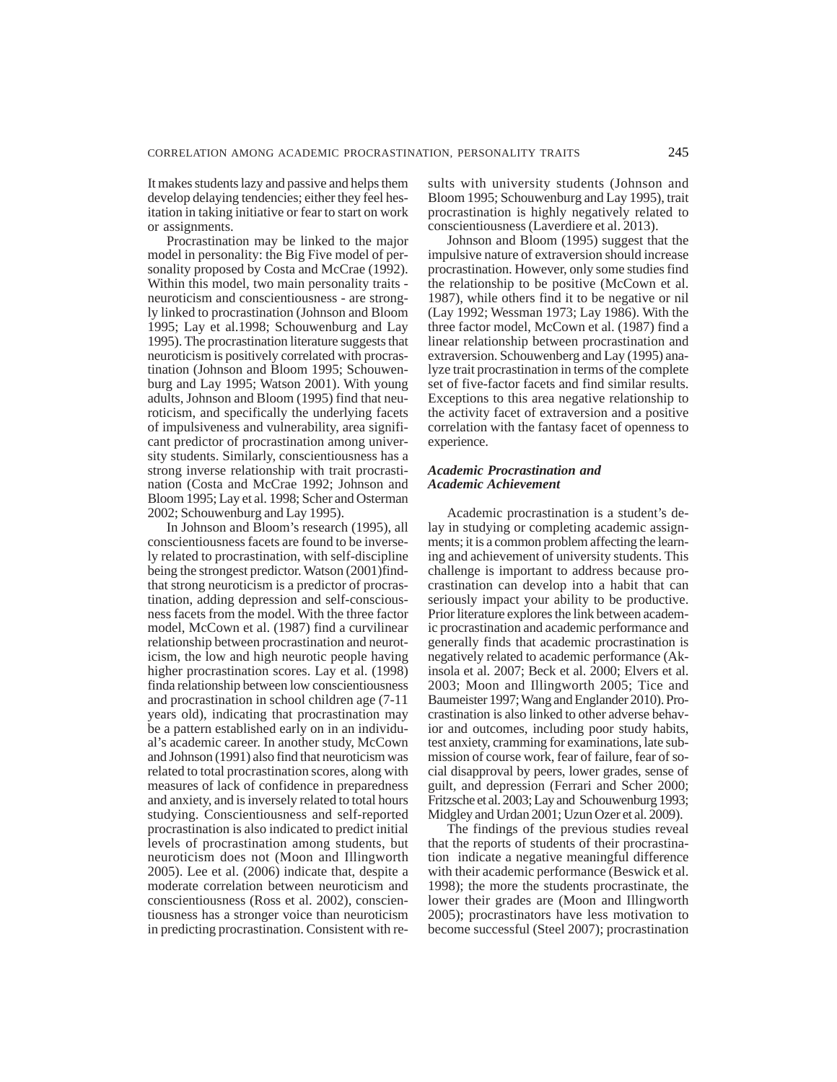It makes students lazy and passive and helps them develop delaying tendencies; either they feel hesitation in taking initiative or fear to start on work or assignments.

Procrastination may be linked to the major model in personality: the Big Five model of personality proposed by Costa and McCrae (1992). Within this model, two main personality traits neuroticism and conscientiousness - are strongly linked to procrastination (Johnson and Bloom 1995; Lay et al.1998; Schouwenburg and Lay 1995). The procrastination literature suggests that neuroticism is positively correlated with procrastination (Johnson and Bloom 1995; Schouwenburg and Lay 1995; Watson 2001). With young adults, Johnson and Bloom (1995) find that neuroticism, and specifically the underlying facets of impulsiveness and vulnerability, area significant predictor of procrastination among university students. Similarly, conscientiousness has a strong inverse relationship with trait procrastination (Costa and McCrae 1992; Johnson and Bloom 1995; Lay et al. 1998; Scher and Osterman 2002; Schouwenburg and Lay 1995).

In Johnson and Bloom's research (1995), all conscientiousness facets are found to be inversely related to procrastination, with self-discipline being the strongest predictor. Watson (2001)findthat strong neuroticism is a predictor of procrastination, adding depression and self-consciousness facets from the model. With the three factor model, McCown et al. (1987) find a curvilinear relationship between procrastination and neuroticism, the low and high neurotic people having higher procrastination scores. Lay et al. (1998) finda relationship between low conscientiousness and procrastination in school children age (7-11 years old), indicating that procrastination may be a pattern established early on in an individual's academic career. In another study, McCown and Johnson (1991) also find that neuroticism was related to total procrastination scores, along with measures of lack of confidence in preparedness and anxiety, and is inversely related to total hours studying. Conscientiousness and self-reported procrastination is also indicated to predict initial levels of procrastination among students, but neuroticism does not (Moon and Illingworth 2005). Lee et al. (2006) indicate that, despite a moderate correlation between neuroticism and conscientiousness (Ross et al. 2002), conscientiousness has a stronger voice than neuroticism in predicting procrastination. Consistent with results with university students (Johnson and Bloom 1995; Schouwenburg and Lay 1995), trait procrastination is highly negatively related to conscientiousness (Laverdiere et al. 2013).

Johnson and Bloom (1995) suggest that the impulsive nature of extraversion should increase procrastination. However, only some studies find the relationship to be positive (McCown et al. 1987), while others find it to be negative or nil (Lay 1992; Wessman 1973; Lay 1986). With the three factor model, McCown et al. (1987) find a linear relationship between procrastination and extraversion. Schouwenberg and Lay (1995) analyze trait procrastination in terms of the complete set of five-factor facets and find similar results. Exceptions to this area negative relationship to the activity facet of extraversion and a positive correlation with the fantasy facet of openness to experience.

#### *Academic Procrastination and Academic Achievement*

Academic procrastination is a student's delay in studying or completing academic assignments; it is a common problem affecting the learning and achievement of university students. This challenge is important to address because procrastination can develop into a habit that can seriously impact your ability to be productive. Prior literature explores the link between academic procrastination and academic performance and generally finds that academic procrastination is negatively related to academic performance (Akinsola et al. 2007; Beck et al. 2000; Elvers et al. 2003; Moon and Illingworth 2005; Tice and Baumeister 1997; Wang and Englander 2010). Procrastination is also linked to other adverse behavior and outcomes, including poor study habits, test anxiety, cramming for examinations, late submission of course work, fear of failure, fear of social disapproval by peers, lower grades, sense of guilt, and depression (Ferrari and Scher 2000; Fritzsche et al. 2003; Lay and Schouwenburg 1993; Midgley and Urdan 2001; Uzun Ozer et al. 2009).

The findings of the previous studies reveal that the reports of students of their procrastination indicate a negative meaningful difference with their academic performance (Beswick et al. 1998); the more the students procrastinate, the lower their grades are (Moon and Illingworth 2005); procrastinators have less motivation to become successful (Steel 2007); procrastination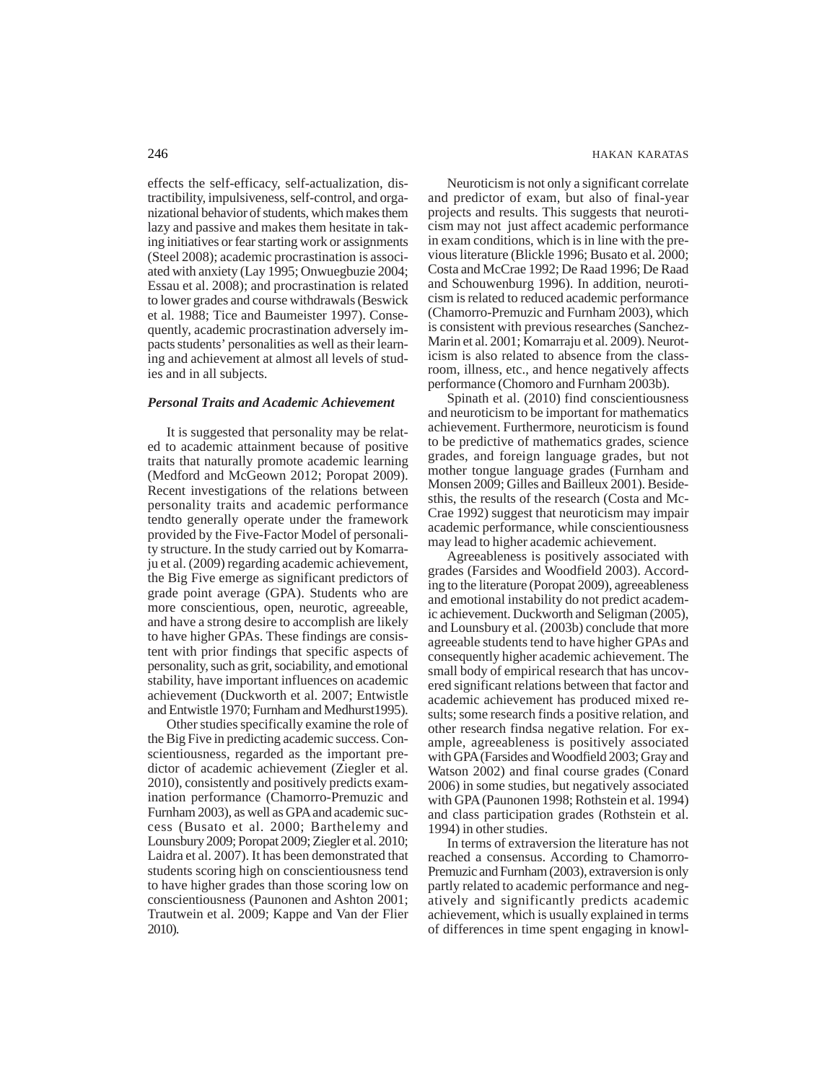effects the self-efficacy, self-actualization, distractibility, impulsiveness, self-control, and organizational behavior of students, which makes them lazy and passive and makes them hesitate in taking initiatives or fear starting work or assignments (Steel 2008); academic procrastination is associated with anxiety (Lay 1995; Onwuegbuzie 2004; Essau et al. 2008); and procrastination is related to lower grades and course withdrawals (Beswick et al. 1988; Tice and Baumeister 1997). Consequently, academic procrastination adversely impacts students' personalities as well as their learning and achievement at almost all levels of studies and in all subjects.

#### *Personal Traits and Academic Achievement*

It is suggested that personality may be related to academic attainment because of positive traits that naturally promote academic learning (Medford and McGeown 2012; Poropat 2009). Recent investigations of the relations between personality traits and academic performance tendto generally operate under the framework provided by the Five-Factor Model of personality structure. In the study carried out by Komarraju et al. (2009) regarding academic achievement, the Big Five emerge as significant predictors of grade point average (GPA). Students who are more conscientious, open, neurotic, agreeable, and have a strong desire to accomplish are likely to have higher GPAs. These findings are consistent with prior findings that specific aspects of personality, such as grit, sociability, and emotional stability, have important influences on academic achievement (Duckworth et al. 2007; Entwistle and Entwistle 1970; Furnham and Medhurst1995).

Other studies specifically examine the role of the Big Five in predicting academic success. Conscientiousness, regarded as the important predictor of academic achievement (Ziegler et al. 2010), consistently and positively predicts examination performance (Chamorro-Premuzic and Furnham 2003), as well as GPA and academic success (Busato et al. 2000; Barthelemy and Lounsbury 2009; Poropat 2009; Ziegler et al. 2010; Laidra et al. 2007). It has been demonstrated that students scoring high on conscientiousness tend to have higher grades than those scoring low on conscientiousness (Paunonen and Ashton 2001; Trautwein et al. 2009; Kappe and Van der Flier 2010).

Neuroticism is not only a significant correlate and predictor of exam, but also of final-year projects and results. This suggests that neuroticism may not just affect academic performance in exam conditions, which is in line with the previous literature (Blickle 1996; Busato et al. 2000; Costa and McCrae 1992; De Raad 1996; De Raad and Schouwenburg 1996). In addition, neuroticism is related to reduced academic performance (Chamorro-Premuzic and Furnham 2003), which is consistent with previous researches (Sanchez-Marin et al. 2001; Komarraju et al. 2009). Neuroticism is also related to absence from the classroom, illness, etc., and hence negatively affects performance (Chomoro and Furnham 2003b).

Spinath et al. (2010) find conscientiousness and neuroticism to be important for mathematics achievement. Furthermore, neuroticism is found to be predictive of mathematics grades, science grades, and foreign language grades, but not mother tongue language grades (Furnham and Monsen 2009; Gilles and Bailleux 2001). Besidesthis, the results of the research (Costa and Mc-Crae 1992) suggest that neuroticism may impair academic performance, while conscientiousness may lead to higher academic achievement.

Agreeableness is positively associated with grades (Farsides and Woodfield 2003). According to the literature (Poropat 2009), agreeableness and emotional instability do not predict academic achievement. Duckworth and Seligman (2005), and Lounsbury et al. (2003b) conclude that more agreeable students tend to have higher GPAs and consequently higher academic achievement. The small body of empirical research that has uncovered significant relations between that factor and academic achievement has produced mixed results; some research finds a positive relation, and other research findsa negative relation. For example, agreeableness is positively associated with GPA (Farsides and Woodfield 2003; Gray and Watson 2002) and final course grades (Conard 2006) in some studies, but negatively associated with GPA (Paunonen 1998; Rothstein et al. 1994) and class participation grades (Rothstein et al. 1994) in other studies.

In terms of extraversion the literature has not reached a consensus. According to Chamorro-Premuzic and Furnham (2003), extraversion is only partly related to academic performance and negatively and significantly predicts academic achievement, which is usually explained in terms of differences in time spent engaging in knowl-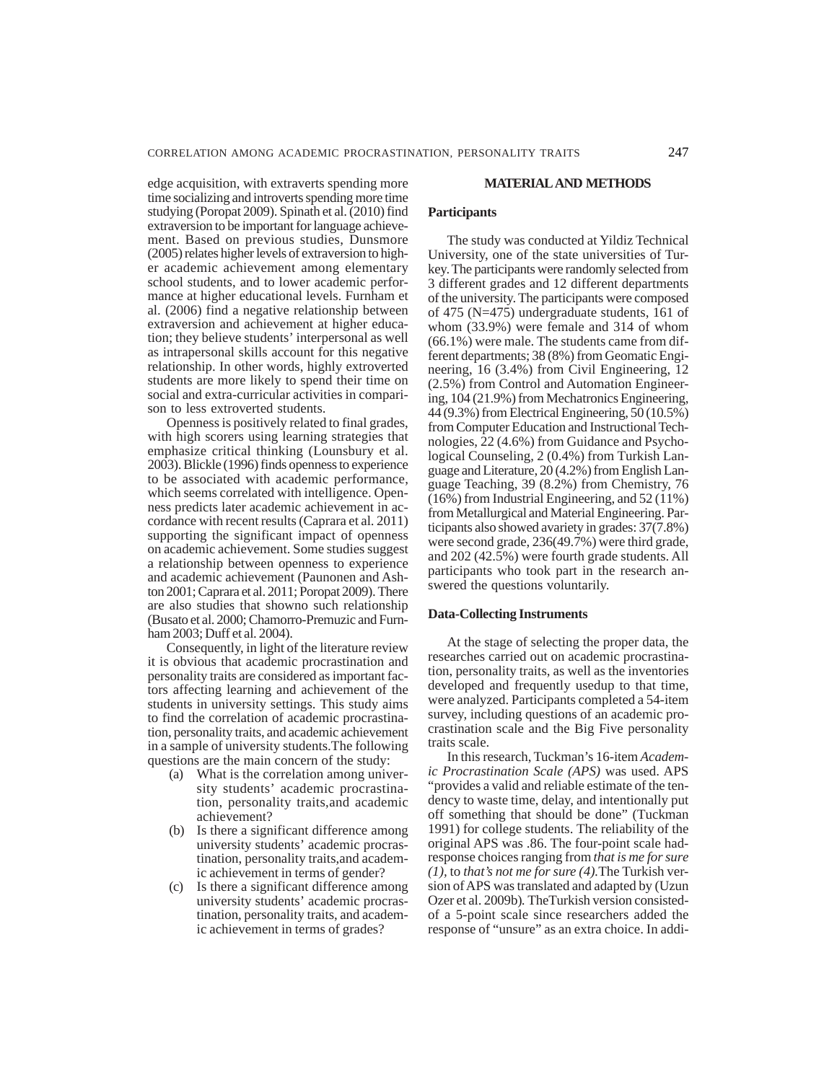edge acquisition, with extraverts spending more time socializing and introverts spending more time studying (Poropat 2009). Spinath et al. (2010) find extraversion to be important for language achievement. Based on previous studies, Dunsmore (2005) relates higher levels of extraversion to higher academic achievement among elementary school students, and to lower academic performance at higher educational levels. Furnham et al. (2006) find a negative relationship between extraversion and achievement at higher education; they believe students' interpersonal as well as intrapersonal skills account for this negative relationship. In other words, highly extroverted students are more likely to spend their time on social and extra-curricular activities in comparison to less extroverted students.

Openness is positively related to final grades, with high scorers using learning strategies that emphasize critical thinking (Lounsbury et al. 2003). Blickle (1996) finds openness to experience to be associated with academic performance, which seems correlated with intelligence. Openness predicts later academic achievement in accordance with recent results (Caprara et al. 2011) supporting the significant impact of openness on academic achievement. Some studies suggest a relationship between openness to experience and academic achievement (Paunonen and Ashton 2001; Caprara et al. 2011; Poropat 2009). There are also studies that showno such relationship (Busato et al. 2000; Chamorro-Premuzic and Furnham 2003; Duff et al. 2004).

Consequently, in light of the literature review it is obvious that academic procrastination and personality traits are considered as important factors affecting learning and achievement of the students in university settings. This study aims to find the correlation of academic procrastination, personality traits, and academic achievement in a sample of university students.The following questions are the main concern of the study:

- (a) What is the correlation among university students' academic procrastination, personality traits,and academic achievement?
- (b) Is there a significant difference among university students' academic procrastination, personality traits,and academic achievement in terms of gender?
- (c) Is there a significant difference among university students' academic procrastination, personality traits, and academic achievement in terms of grades?

#### **MATERIAL AND METHODS**

## **Participants**

The study was conducted at Yildiz Technical University, one of the state universities of Turkey. The participants were randomly selected from 3 different grades and 12 different departments of the university. The participants were composed of 475 (N=475) undergraduate students, 161 of whom (33.9%) were female and 314 of whom (66.1%) were male. The students came from different departments; 38 (8%) from Geomatic Engineering, 16 (3.4%) from Civil Engineering, 12 (2.5%) from Control and Automation Engineering, 104 (21.9%) from Mechatronics Engineering,  $44 (9.3\%)$  from Electrical Engineering,  $50 (10.5\%)$ from Computer Education and Instructional Technologies, 22 (4.6%) from Guidance and Psychological Counseling, 2 (0.4%) from Turkish Language and Literature, 20 (4.2%) from English Language Teaching, 39 (8.2%) from Chemistry, 76  $(16\%)$  from Industrial Engineering, and 52 (11%) from Metallurgical and Material Engineering. Participants also showed avariety in grades: 37(7.8%) were second grade, 236(49.7%) were third grade, and 202 (42.5%) were fourth grade students. All participants who took part in the research answered the questions voluntarily.

# **Data-Collecting Instruments**

At the stage of selecting the proper data, the researches carried out on academic procrastination, personality traits, as well as the inventories developed and frequently usedup to that time, were analyzed. Participants completed a 54-item survey, including questions of an academic procrastination scale and the Big Five personality traits scale.

In this research, Tuckman's 16-item *Academic Procrastination Scale (APS)* was used. APS "provides a valid and reliable estimate of the tendency to waste time, delay, and intentionally put off something that should be done" (Tuckman 1991) for college students. The reliability of the original APS was .86. The four-point scale hadresponse choices ranging from *that is me for sure (1),* to *that's not me for sure (4).*The Turkish version of APS was translated and adapted by (Uzun Ozer et al. 2009b)*.* TheTurkish version consistedof a 5-point scale since researchers added the response of "unsure" as an extra choice. In addi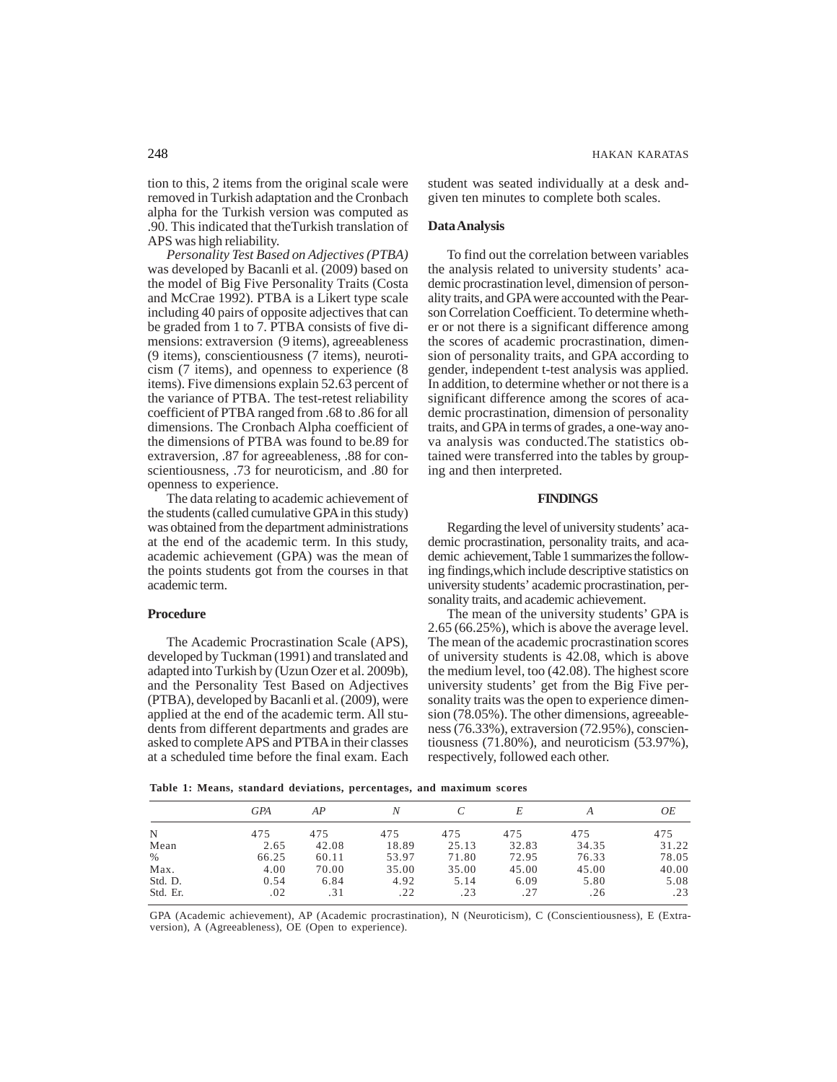tion to this, 2 items from the original scale were removed in Turkish adaptation and the Cronbach alpha for the Turkish version was computed as .90. This indicated that theTurkish translation of APS was high reliability.

*Personality Test Based on Adjectives (PTBA)* was developed by Bacanli et al. (2009) based on the model of Big Five Personality Traits (Costa and McCrae 1992). PTBA is a Likert type scale including 40 pairs of opposite adjectives that can be graded from 1 to 7. PTBA consists of five dimensions: extraversion (9 items), agreeableness (9 items), conscientiousness (7 items), neuroticism (7 items), and openness to experience (8 items). Five dimensions explain 52.63 percent of the variance of PTBA. The test-retest reliability coefficient of PTBA ranged from .68 to .86 for all dimensions. The Cronbach Alpha coefficient of the dimensions of PTBA was found to be.89 for extraversion, .87 for agreeableness, .88 for conscientiousness, .73 for neuroticism, and .80 for openness to experience.

The data relating to academic achievement of the students (called cumulative GPA in this study) was obtained from the department administrations at the end of the academic term. In this study, academic achievement (GPA) was the mean of the points students got from the courses in that academic term.

#### **Procedure**

The Academic Procrastination Scale (APS), developed by Tuckman (1991) and translated and adapted into Turkish by (Uzun Ozer et al. 2009b), and the Personality Test Based on Adjectives (PTBA), developed by Bacanli et al. (2009), were applied at the end of the academic term. All students from different departments and grades are asked to complete APS and PTBA in their classes at a scheduled time before the final exam. Each student was seated individually at a desk andgiven ten minutes to complete both scales.

#### **Data Analysis**

To find out the correlation between variables the analysis related to university students' academic procrastination level, dimension of personality traits, and GPA were accounted with the Pearson Correlation Coefficient. To determine whether or not there is a significant difference among the scores of academic procrastination, dimension of personality traits, and GPA according to gender, independent t-test analysis was applied. In addition, to determine whether or not there is a significant difference among the scores of academic procrastination, dimension of personality traits, and GPA in terms of grades, a one-way anova analysis was conducted.The statistics obtained were transferred into the tables by grouping and then interpreted.

#### **FINDINGS**

Regarding the level of university students' academic procrastination, personality traits, and academic achievement, Table 1 summarizes the following findings,which include descriptive statistics on university students' academic procrastination, personality traits, and academic achievement.

The mean of the university students' GPA is 2.65 (66.25%), which is above the average level. The mean of the academic procrastination scores of university students is 42.08, which is above the medium level, too (42.08). The highest score university students' get from the Big Five personality traits was the open to experience dimension (78.05%). The other dimensions, agreeableness (76.33%), extraversion (72.95%), conscientiousness (71.80%), and neuroticism (53.97%), respectively, followed each other.

**Table 1: Means, standard deviations, percentages, and maximum scores**

|          | <b>GPA</b> | AP    | Ν     |       |       |       | OЕ    |
|----------|------------|-------|-------|-------|-------|-------|-------|
| N        | 475        | 475   | 475   | 475   | 475   | 475   | 475   |
| Mean     | 2.65       | 42.08 | 18.89 | 25.13 | 32.83 | 34.35 | 31.22 |
| $\%$     | 66.25      | 60.11 | 53.97 | 71.80 | 72.95 | 76.33 | 78.05 |
| Max.     | 4.00       | 70.00 | 35.00 | 35.00 | 45.00 | 45.00 | 40.00 |
| Std. D.  | 0.54       | 6.84  | 4.92  | 5.14  | 6.09  | 5.80  | 5.08  |
| Std. Er. | .02        | .31   | .22   | .23   | .27   | .26   | .23   |

GPA (Academic achievement), AP (Academic procrastination), N (Neuroticism), C (Conscientiousness), E (Extraversion), A (Agreeableness), OE (Open to experience).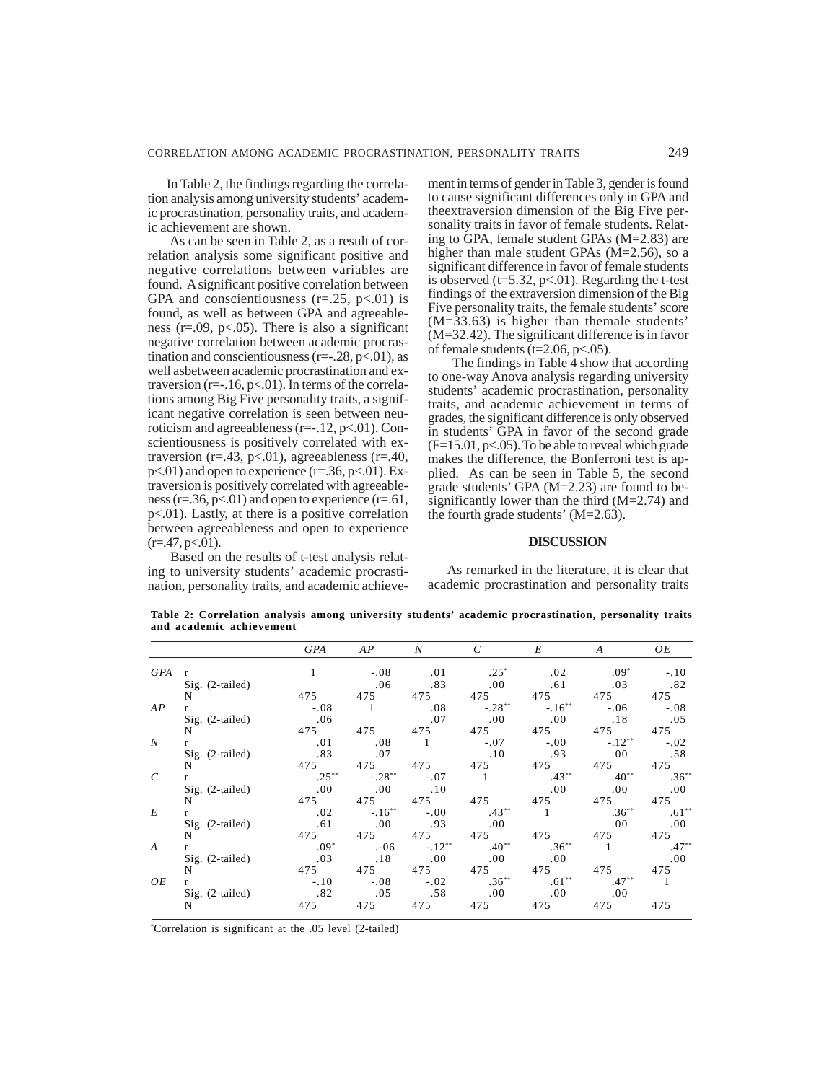In Table 2, the findings regarding the correlation analysis among university students' academic procrastination, personality traits, and academic achievement are shown.

As can be seen in Table 2, as a result of correlation analysis some significant positive and negative correlations between variables are found. A significant positive correlation between GPA and conscientiousness  $(r=.25, p<.01)$  is found, as well as between GPA and agreeableness ( $r = .09$ ,  $p < .05$ ). There is also a significant negative correlation between academic procrastination and conscientiousness ( $r=-.28$ ,  $p<-01$ ), as well asbetween academic procrastination and extraversion ( $r=-16$ ,  $p<01$ ). In terms of the correlations among Big Five personality traits, a significant negative correlation is seen between neuroticism and agreeableness ( $r=-12$ ,  $p<-01$ ). Conscientiousness is positively correlated with extraversion (r=.43, p<.01), agreeableness (r=.40,  $p<.01$ ) and open to experience ( $r=.36$ ,  $p<.01$ ). Extraversion is positively correlated with agreeableness ( $r = .36$ ,  $p < .01$ ) and open to experience ( $r = .61$ , p<.01). Lastly, at there is a positive correlation between agreeableness and open to experience  $(r=47, p<.01)$ .

Based on the results of t-test analysis relating to university students' academic procrastination, personality traits, and academic achievement in terms of gender in Table 3, gender is found to cause significant differences only in GPA and theextraversion dimension of the Big Five personality traits in favor of female students. Relating to GPA, female student GPAs (M=2.83) are higher than male student GPAs (M=2.56), so a significant difference in favor of female students is observed ( $t=5.32$ ,  $p<.01$ ). Regarding the t-test findings of the extraversion dimension of the Big Five personality traits, the female students' score (M=33.63) is higher than themale students' (M=32.42). The significant difference is in favor of female students (t=2.06,  $p<0.05$ ).

 The findings in Table 4 show that according to one-way Anova analysis regarding university students' academic procrastination, personality traits, and academic achievement in terms of grades, the significant difference is only observed in students' GPA in favor of the second grade  $(F=15.01, p<0.05)$ . To be able to reveal which grade makes the difference, the Bonferroni test is applied. As can be seen in Table 5, the second grade students' GPA (M=2.23) are found to besignificantly lower than the third (M=2.74) and the fourth grade students' (M=2.63).

# **DISCUSSION**

As remarked in the literature, it is clear that academic procrastination and personality traits

**Table 2: Correlation analysis among university students' academic procrastination, personality traits and academic achievement**

|                  |                   | GPA      | AP        | $\boldsymbol{N}$ | C              | E              | $\boldsymbol{A}$ | OE      |
|------------------|-------------------|----------|-----------|------------------|----------------|----------------|------------------|---------|
| GPA              | $\mathbf{r}$      | -1       | $-.08$    | .01              | $0.25^*$       | .02            | $.09*$           | $-.10$  |
|                  | Sig. (2-tailed)   |          | .06       | .83              | .00            | .61            | .03              | .82     |
|                  | N                 | 475      | 475       | 475              | 475            | 475            | 475              | 475     |
| AP               | r                 | $-.08$   |           | .08              | $-.28**$       | $-.16***$      | $-.06$           | $-.08$  |
|                  | $Sig.$ (2-tailed) | .06      |           | .07              | .00            | .00            | .18              | .05     |
|                  | N                 | 475      | 475       | 475              | 475            | 475            | 475              | 475     |
| $\boldsymbol{N}$ | r                 | .01      | .08       | $\overline{1}$   | $-.07$         | $-.00$         | $-.12**$         | $-.02$  |
|                  | Sig. (2-tailed)   | .83      | .07       |                  | .10            | .93            | .00.             | .58     |
|                  | N                 | 475      | 475       | 475              | 475            | 475            | 475              | 475     |
| $\mathcal{C}$    | r                 | $.25***$ | $-.28**$  | $-.07$           | $\overline{1}$ | $.43**$        | $.40**$          | $.36**$ |
|                  | $Sig.$ (2-tailed) | .00      | .00       | .10              |                | .00.           | .00.             | .00.    |
|                  | N                 | 475      | 475       | 475              | 475            | 475            | 475              | 475     |
| E                | r                 | .02      | $-.16***$ | $-.00$           | $.43***$       | $\overline{1}$ | $.36**$          | $.61**$ |
|                  | $Sig.$ (2-tailed) | .61      | .00.      | .93              | .00            |                | .00.             | .00.    |
|                  | N                 | 475      | 475       | 475              | 475            | 475            | 475              | 475     |
| $\boldsymbol{A}$ | r                 | $.09*$   | $. -06$   | $-.12**$         | $-40**$        | $.36**$        | $\overline{1}$   | $.47**$ |
|                  | $Sig.$ (2-tailed) | .03      | .18       | .00              | .00            | .00.           |                  | .00     |
|                  | N                 | 475      | 475       | 475              | 475            | 475            | 475              | 475     |
| OЕ               | r                 | $-.10$   | $-.08$    | $-.02$           | $.36***$       | $.61**$        | $.47**$          |         |
|                  | Sig. (2-tailed)   | .82      | .05       | .58              | .00            | .00.           | .00.             |         |
|                  | N                 | 475      | 475       | 475              | 475            | 475            | 475              | 475     |

\* Correlation is significant at the .05 level (2-tailed)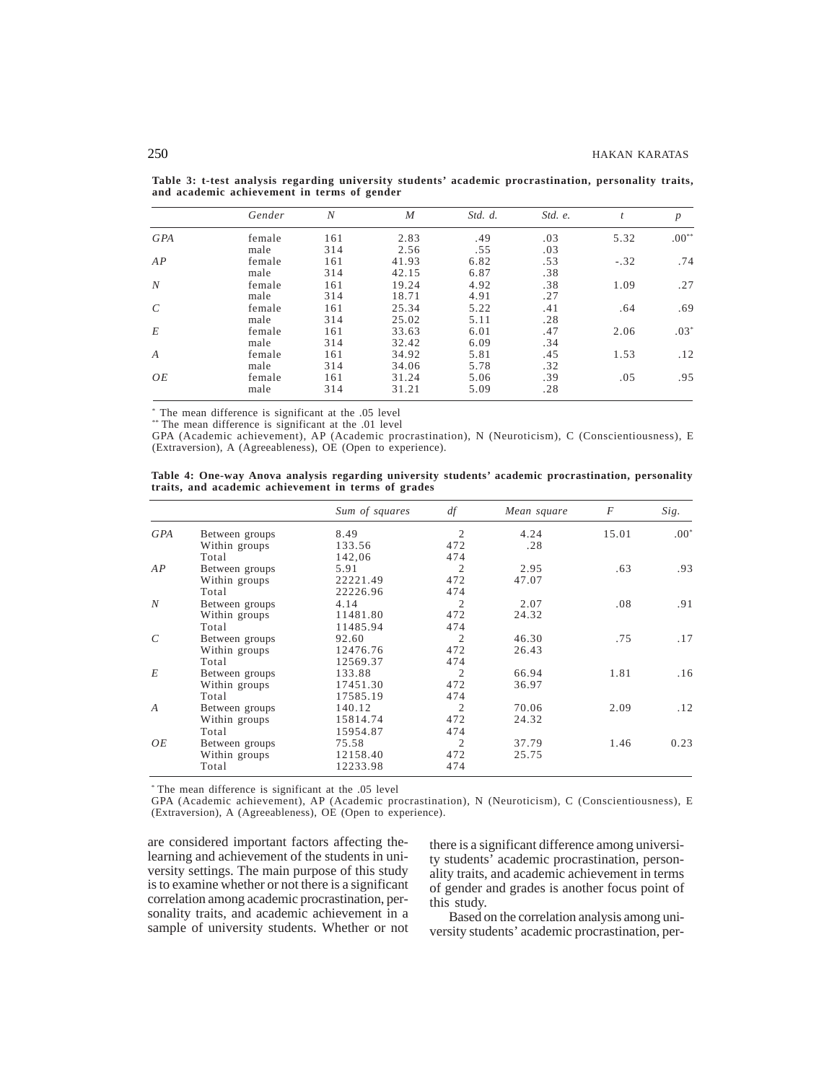|                  | Gender | N   | $\boldsymbol{M}$ | Std. d. | Std. e. | $\boldsymbol{t}$ | $\boldsymbol{p}$ |
|------------------|--------|-----|------------------|---------|---------|------------------|------------------|
| <b>GPA</b>       | female | 161 | 2.83             | .49     | .03     | 5.32             | $.00**$          |
|                  | male   | 314 | 2.56             | .55     | .03     |                  |                  |
| AP               | female | 161 | 41.93            | 6.82    | .53     | $-.32$           | .74              |
|                  | male   | 314 | 42.15            | 6.87    | .38     |                  |                  |
| N                | female | 161 | 19.24            | 4.92    | .38     | 1.09             | .27              |
|                  | male   | 314 | 18.71            | 4.91    | .27     |                  |                  |
| $\mathcal{C}$    | female | 161 | 25.34            | 5.22    | .41     | .64              | .69              |
|                  | male   | 314 | 25.02            | 5.11    | .28     |                  |                  |
| E                | female | 161 | 33.63            | 6.01    | .47     | 2.06             | $.03*$           |
|                  | male   | 314 | 32.42            | 6.09    | .34     |                  |                  |
| $\boldsymbol{A}$ | female | 161 | 34.92            | 5.81    | .45     | 1.53             | .12              |
|                  | male   | 314 | 34.06            | 5.78    | .32     |                  |                  |
| OE               | female | 161 | 31.24            | 5.06    | .39     | .05              | .95              |
|                  | male   | 314 | 31.21            | 5.09    | .28     |                  |                  |

**Table 3: t-test analysis regarding university students' academic procrastination, personality traits, and academic achievement in terms of gender**

\* The mean difference is significant at the .05 level

\*\* The mean difference is significant at the .01 level

GPA (Academic achievement), AP (Academic procrastination), N (Neuroticism), C (Conscientiousness), E (Extraversion), A (Agreeableness), OE (Open to experience).

|                                                     |  |  |  | Table 4: One-way Anova analysis regarding university students' academic procrastination, personality |  |
|-----------------------------------------------------|--|--|--|------------------------------------------------------------------------------------------------------|--|
| traits, and academic achievement in terms of grades |  |  |  |                                                                                                      |  |

|                |                | Sum of squares | df             | Mean square | F     | Sig.   |
|----------------|----------------|----------------|----------------|-------------|-------|--------|
| <b>GPA</b>     | Between groups | 8.49           | 2              | 4.24        | 15.01 | $.00*$ |
|                | Within groups  | 133.56         | 472            | .28         |       |        |
|                | Total          | 142.06         | 474            |             |       |        |
| AP             | Between groups | 5.91           | $\overline{c}$ | 2.95        | .63   | .93    |
|                | Within groups  | 22221.49       | 472            | 47.07       |       |        |
|                | Total          | 22226.96       | 474            |             |       |        |
| N              | Between groups | 4.14           | $\overline{c}$ | 2.07        | .08   | .91    |
|                | Within groups  | 11481.80       | 472            | 24.32       |       |        |
|                | Total          | 11485.94       | 474            |             |       |        |
| $\mathcal{C}$  | Between groups | 92.60          | $\overline{c}$ | 46.30       | .75   | .17    |
|                | Within groups  | 12476.76       | 472            | 26.43       |       |        |
|                | Total          | 12569.37       | 474            |             |       |        |
| E              | Between groups | 133.88         | $\overline{c}$ | 66.94       | 1.81  | .16    |
|                | Within groups  | 17451.30       | 472            | 36.97       |       |        |
|                | Total          | 17585.19       | 474            |             |       |        |
| $\overline{A}$ | Between groups | 140.12         | $\overline{c}$ | 70.06       | 2.09  | .12    |
|                | Within groups  | 15814.74       | 472            | 24.32       |       |        |
|                | Total          | 15954.87       | 474            |             |       |        |
| OΕ             | Between groups | 75.58          | 2              | 37.79       | 1.46  | 0.23   |
|                | Within groups  | 12158.40       | 472            | 25.75       |       |        |
|                | Total          | 12233.98       | 474            |             |       |        |

\* The mean difference is significant at the .05 level

GPA (Academic achievement), AP (Academic procrastination), N (Neuroticism), C (Conscientiousness), E (Extraversion), A (Agreeableness), OE (Open to experience).

are considered important factors affecting thelearning and achievement of the students in university settings. The main purpose of this study is to examine whether or not there is a significant correlation among academic procrastination, personality traits, and academic achievement in a sample of university students. Whether or not

there is a significant difference among university students' academic procrastination, personality traits, and academic achievement in terms of gender and grades is another focus point of this study.

Based on the correlation analysis among university students' academic procrastination, per-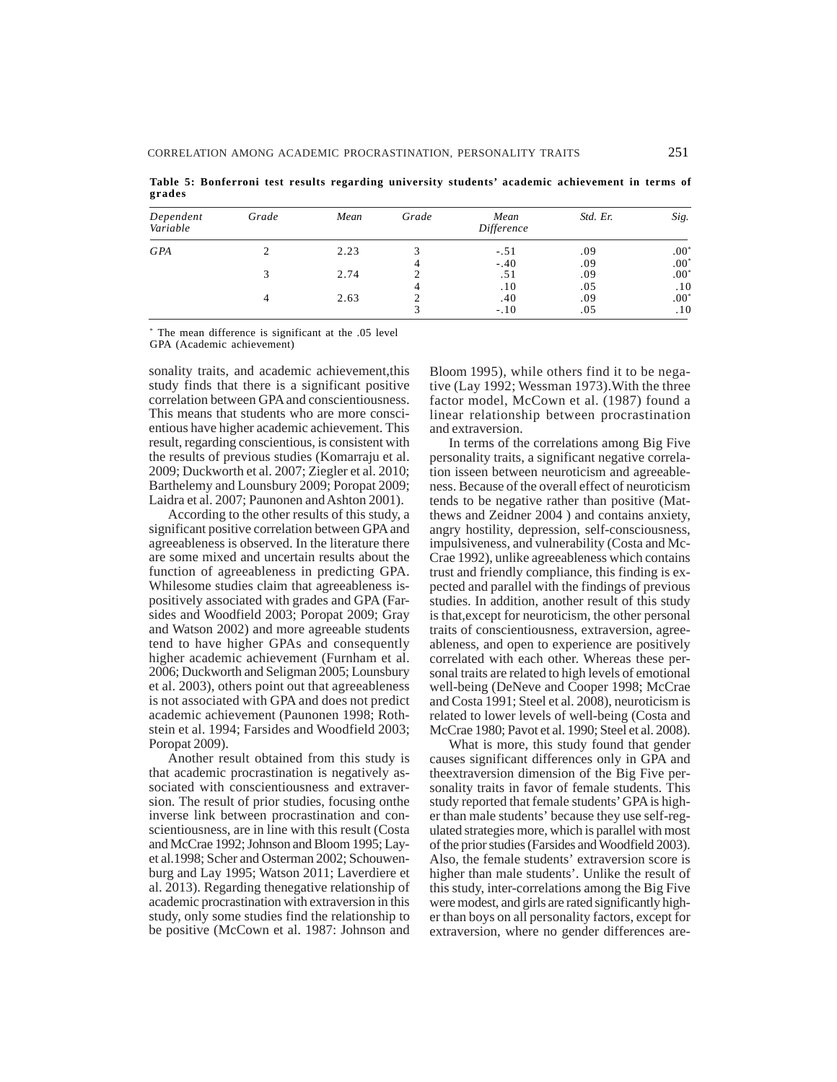**grades** *Dependent Grade Mean Grade Mean Std. Er. Sig. Variable Difference*

3  $-10$  .05 .10

**Table 5: Bonferroni test results regarding university students' academic achievement in terms of**

| Dependent<br>Variable | Grade | Mean | Grade | Mean<br>Difference | Std. Er. | Sig.   |
|-----------------------|-------|------|-------|--------------------|----------|--------|
| <b>GPA</b>            |       | 2.23 |       | $-.51$             | .09      | $.00*$ |
|                       |       |      |       | $-.40$             | .09      | $.00*$ |
|                       |       | 2.74 |       | .51                | .09      | $.00*$ |
|                       |       |      |       | .10                | .05      | .10    |
|                       |       | 2.63 |       | .40                | .09      | $.00*$ |

\* The mean difference is significant at the .05 level

GPA (Academic achievement)

sonality traits, and academic achievement,this study finds that there is a significant positive correlation between GPA and conscientiousness. This means that students who are more conscientious have higher academic achievement. This result, regarding conscientious, is consistent with the results of previous studies (Komarraju et al. 2009; Duckworth et al. 2007; Ziegler et al. 2010; Barthelemy and Lounsbury 2009; Poropat 2009; Laidra et al. 2007; Paunonen and Ashton 2001).

According to the other results of this study, a significant positive correlation between GPA and agreeableness is observed. In the literature there are some mixed and uncertain results about the function of agreeableness in predicting GPA. Whilesome studies claim that agreeableness ispositively associated with grades and GPA (Farsides and Woodfield 2003; Poropat 2009; Gray and Watson 2002) and more agreeable students tend to have higher GPAs and consequently higher academic achievement (Furnham et al. 2006; Duckworth and Seligman 2005; Lounsbury et al. 2003), others point out that agreeableness is not associated with GPA and does not predict academic achievement (Paunonen 1998; Rothstein et al. 1994; Farsides and Woodfield 2003; Poropat 2009).

Another result obtained from this study is that academic procrastination is negatively associated with conscientiousness and extraversion. The result of prior studies, focusing onthe inverse link between procrastination and conscientiousness, are in line with this result (Costa and McCrae 1992; Johnson and Bloom 1995; Layet al.1998; Scher and Osterman 2002; Schouwenburg and Lay 1995; Watson 2011; Laverdiere et al. 2013). Regarding thenegative relationship of academic procrastination with extraversion in this study, only some studies find the relationship to be positive (McCown et al. 1987: Johnson and Bloom 1995), while others find it to be negative (Lay 1992; Wessman 1973).With the three factor model, McCown et al. (1987) found a linear relationship between procrastination and extraversion.

In terms of the correlations among Big Five personality traits, a significant negative correlation isseen between neuroticism and agreeableness. Because of the overall effect of neuroticism tends to be negative rather than positive (Matthews and Zeidner 2004 ) and contains anxiety, angry hostility, depression, self-consciousness, impulsiveness, and vulnerability (Costa and Mc-Crae 1992), unlike agreeableness which contains trust and friendly compliance, this finding is expected and parallel with the findings of previous studies. In addition, another result of this study is that,except for neuroticism, the other personal traits of conscientiousness, extraversion, agreeableness, and open to experience are positively correlated with each other. Whereas these personal traits are related to high levels of emotional well-being (DeNeve and Cooper 1998; McCrae and Costa 1991; Steel et al. 2008), neuroticism is related to lower levels of well-being (Costa and McCrae 1980; Pavot et al. 1990; Steel et al. 2008).

What is more, this study found that gender causes significant differences only in GPA and theextraversion dimension of the Big Five personality traits in favor of female students. This study reported that female students' GPA is higher than male students' because they use self-regulated strategies more, which is parallel with most of the prior studies (Farsides and Woodfield 2003). Also, the female students' extraversion score is higher than male students'. Unlike the result of this study, inter-correlations among the Big Five were modest, and girls are rated significantly higher than boys on all personality factors, except for extraversion, where no gender differences are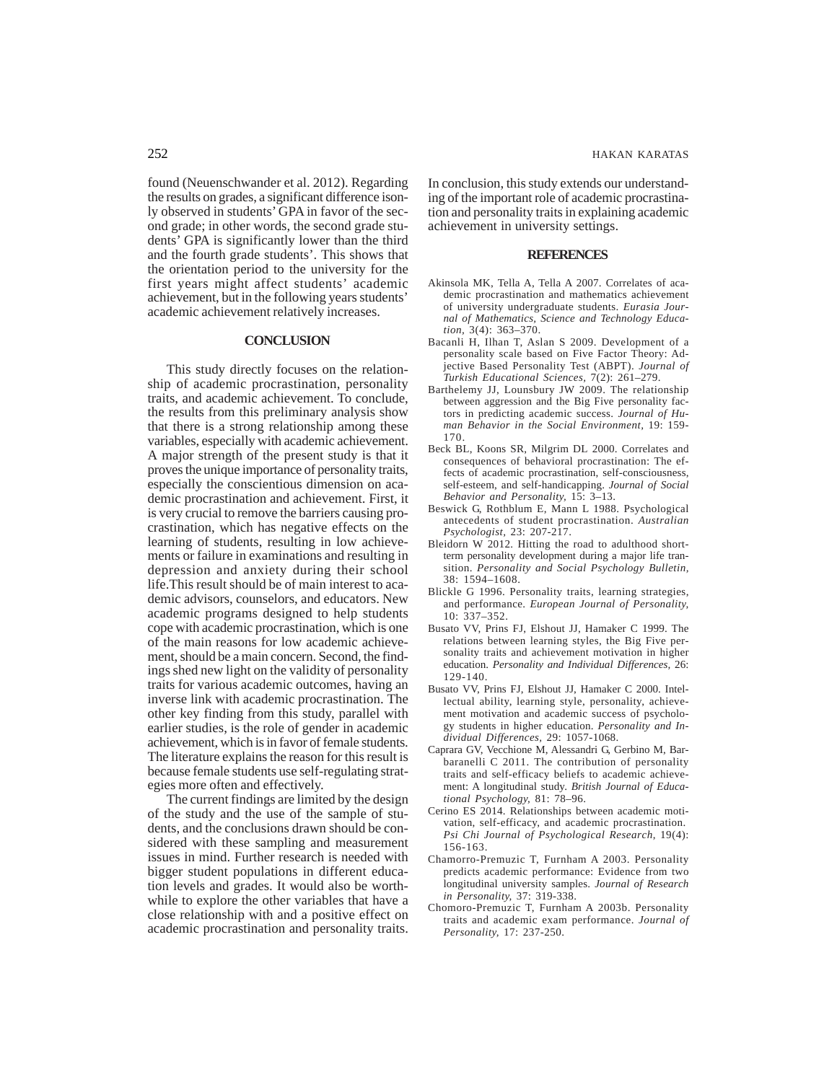found (Neuenschwander et al. 2012). Regarding the results on grades, a significant difference isonly observed in students' GPA in favor of the second grade; in other words, the second grade students' GPA is significantly lower than the third and the fourth grade students'. This shows that the orientation period to the university for the first years might affect students' academic achievement, but in the following years students' academic achievement relatively increases.

#### **CONCLUSION**

This study directly focuses on the relationship of academic procrastination, personality traits, and academic achievement. To conclude, the results from this preliminary analysis show that there is a strong relationship among these variables, especially with academic achievement. A major strength of the present study is that it proves the unique importance of personality traits, especially the conscientious dimension on academic procrastination and achievement. First, it is very crucial to remove the barriers causing procrastination, which has negative effects on the learning of students, resulting in low achievements or failure in examinations and resulting in depression and anxiety during their school life.This result should be of main interest to academic advisors, counselors, and educators. New academic programs designed to help students cope with academic procrastination, which is one of the main reasons for low academic achievement, should be a main concern. Second, the findings shed new light on the validity of personality traits for various academic outcomes, having an inverse link with academic procrastination. The other key finding from this study, parallel with earlier studies, is the role of gender in academic achievement, which is in favor of female students. The literature explains the reason for this result is because female students use self-regulating strategies more often and effectively.

The current findings are limited by the design of the study and the use of the sample of students, and the conclusions drawn should be considered with these sampling and measurement issues in mind. Further research is needed with bigger student populations in different education levels and grades. It would also be worthwhile to explore the other variables that have a close relationship with and a positive effect on academic procrastination and personality traits.

In conclusion, this study extends our understanding of the important role of academic procrastination and personality traits in explaining academic achievement in university settings.

#### **REFERENCES**

- Akinsola MK, Tella A, Tella A 2007. Correlates of academic procrastination and mathematics achievement of university undergraduate students. *Eurasia Journal of Mathematics, Science and Technology Education,* 3(4): 363–370.
- Bacanli H, Ilhan T, Aslan S 2009. Development of a personality scale based on Five Factor Theory: Adjective Based Personality Test (ABPT). *Journal of Turkish Educational Sciences,* 7(2): 261–279.
- Barthelemy JJ, Lounsbury JW 2009. The relationship between aggression and the Big Five personality factors in predicting academic success. *Journal of Human Behavior in the Social Environment,* 19: 159- 170.
- Beck BL, Koons SR, Milgrim DL 2000. Correlates and consequences of behavioral procrastination: The effects of academic procrastination, self-consciousness, self-esteem, and self-handicapping. *Journal of Social Behavior and Personality,* 15: 3–13.
- Beswick G, Rothblum E, Mann L 1988. Psychological antecedents of student procrastination. *Australian Psychologist,* 23: 207-217.
- Bleidorn W 2012. Hitting the road to adulthood shortterm personality development during a major life transition. *Personality and Social Psychology Bulletin,* 38: 1594–1608.
- Blickle G 1996. Personality traits, learning strategies, and performance. *European Journal of Personality,* 10: 337–352.
- Busato VV, Prins FJ, Elshout JJ, Hamaker C 1999. The relations between learning styles, the Big Five personality traits and achievement motivation in higher education. *Personality and Individual Differences,* 26: 129-140.
- Busato VV, Prins FJ, Elshout JJ, Hamaker C 2000. Intellectual ability, learning style, personality, achievement motivation and academic success of psychology students in higher education. *Personality and Individual Differences,* 29: 1057-1068.
- Caprara GV, Vecchione M, Alessandri G, Gerbino M, Barbaranelli C 2011. The contribution of personality traits and self-efficacy beliefs to academic achievement: A longitudinal study. *British Journal of Educational Psychology,* 81: 78–96.
- Cerino ES 2014. Relationships between academic motivation, self-efficacy, and academic procrastination. *Psi Chi Journal of Psychological Research*, 19(4): 156-163.
- Chamorro-Premuzic T, Furnham A 2003. Personality predicts academic performance: Evidence from two longitudinal university samples. *Journal of Research in Personality,* 37: 319-338.
- Chomoro-Premuzic T, Furnham A 2003b. Personality traits and academic exam performance. *Journal of Personality,* 17: 237-250.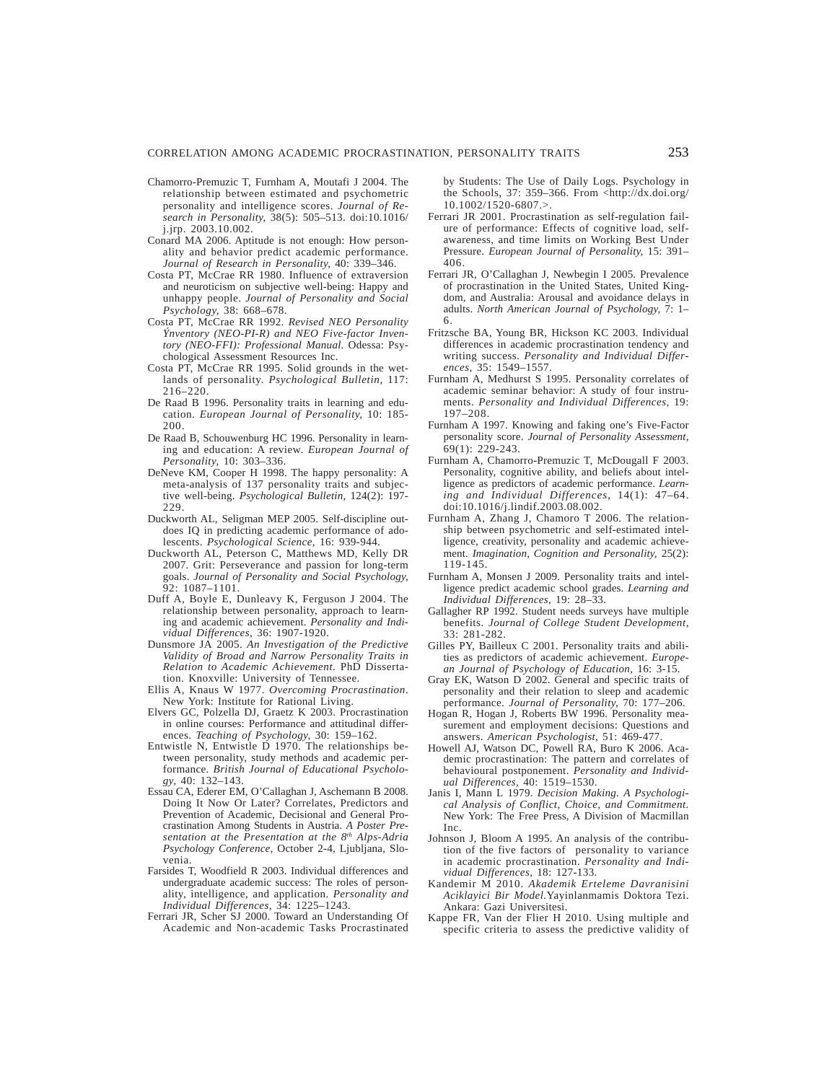- Chamorro-Premuzic T, Furnham A, Moutafi J 2004. The relationship between estimated and psychometric personality and intelligence scores. *Journal of Research in Personality,* 38(5): 505–513. doi:10.1016/ j.jrp. 2003.10.002.
- Conard MA 2006. Aptitude is not enough: How personality and behavior predict academic performance. *Journal of Research in Personality,* 40: 339–346.
- Costa PT, McCrae RR 1980. Influence of extraversion and neuroticism on subjective well-being: Happy and unhappy people. *Journal of Personality and Social Psychology,* 38: 668–678.
- Costa PT, McCrae RR 1992. *Revised NEO Personality Ýnventory (NEO-PI-R) and NEO Five-factor Inventory (NEO-FFI): Professional Manual*. Odessa: Psychological Assessment Resources Inc.
- Costa PT, McCrae RR 1995. Solid grounds in the wetlands of personality. *Psychological Bulletin,* 117: 216–220.
- De Raad B 1996. Personality traits in learning and education. *European Journal of Personality,* 10: 185- 200.
- De Raad B, Schouwenburg HC 1996. Personality in learning and education: A review. *European Journal of Personality,* 10: 303–336.
- DeNeve KM, Cooper H 1998. The happy personality: A meta-analysis of 137 personality traits and subjective well-being. *Psychological Bulletin,* 124(2): 197- 229.
- Duckworth AL, Seligman MEP 2005. Self-discipline outdoes IQ in predicting academic performance of adolescents. *Psychological Science,* 16: 939-944.
- Duckworth AL, Peterson C, Matthews MD, Kelly DR 2007. Grit: Perseverance and passion for long-term goals. *Journal of Personality and Social Psychology,* 92: 1087–1101.
- Duff A, Boyle E, Dunleavy K, Ferguson J 2004. The relationship between personality, approach to learning and academic achievement. *Personality and Individual Differences,* 36: 1907-1920.
- Dunsmore JA 2005. *An Investigation of the Predictive Validity of Broad and Narrow Personality Traits in Relation to Academic Achievement.* PhD Dissertation. Knoxville: University of Tennessee.
- Ellis A, Knaus W 1977. *Overcoming Procrastination*. New York: Institute for Rational Living.
- Elvers GC, Polzella DJ, Graetz K 2003. Procrastination in online courses: Performance and attitudinal differences. *Teaching of Psychology,* 30: 159–162.
- Entwistle N, Entwistle D 1970. The relationships between personality, study methods and academic performance. *British Journal of Educational Psychology,* 40: 132–143.
- Essau CA, Ederer EM, O'Callaghan J, Aschemann B 2008. Doing It Now Or Later? Correlates, Predictors and Prevention of Academic, Decisional and General Procrastination Among Students in Austria. *A Poster Presentation at the Presentation at the 8th Alps-Adria Psychology Conference,* October 2-4, Ljubljana, Slovenia.
- Farsides T, Woodfield R 2003. Individual differences and undergraduate academic success: The roles of personality, intelligence, and application. *Personality and Individual Differences,* 34: 1225–1243.
- Ferrari JR, Scher SJ 2000. Toward an Understanding Of Academic and Non-academic Tasks Procrastinated

by Students: The Use of Daily Logs. Psychology in the Schools, 37: 359–366. From <http://dx.doi.org/ 10.1002/1520-6807.>.

- Ferrari JR 2001. Procrastination as self-regulation failure of performance: Effects of cognitive load, selfawareness, and time limits on Working Best Under Pressure. *European Journal of Personality,* 15: 391– 406.
- Ferrari JR, O'Callaghan J, Newbegin I 2005. Prevalence of procrastination in the United States, United Kingdom, and Australia: Arousal and avoidance delays in adults. *North American Journal of Psychology,* 7: 1– 6.
- Fritzsche BA, Young BR, Hickson KC 2003. Individual differences in academic procrastination tendency and writing success. *Personality and Individual Differences,* 35: 1549–1557.
- Furnham A, Medhurst S 1995. Personality correlates of academic seminar behavior: A study of four instruments. *Personality and Individual Differences,* 19: 197–208.
- Furnham A 1997. Knowing and faking one's Five-Factor personality score. *Journal of Personality Assessment,* 69(1): 229-243.
- Furnham A, Chamorro-Premuzic T, McDougall F 2003. Personality, cognitive ability, and beliefs about intelligence as predictors of academic performance. *Learning and Individual Differences,* 14(1): 47–64. doi:10.1016/j.lindif.2003.08.002.
- Furnham A, Zhang J, Chamoro T 2006. The relationship between psychometric and self-estimated intelligence, creativity, personality and academic achievement. *Imagination, Cognition and Personality,* 25(2): 119-145.
- Furnham A, Monsen J 2009. Personality traits and intelligence predict academic school grades. *Learning and Individual Differences,* 19: 28–33.
- Gallagher RP 1992. Student needs surveys have multiple benefits. *Journal of College Student Development,* 33: 281-282.
- Gilles PY, Bailleux C 2001. Personality traits and abilities as predictors of academic achievement. *European Journal of Psychology of Education,* 16: 3-15.
- Gray EK, Watson D 2002. General and specific traits of personality and their relation to sleep and academic performance. *Journal of Personality,* 70: 177–206.
- Hogan R, Hogan J, Roberts BW 1996. Personality measurement and employment decisions: Questions and answers. *American Psychologist,* 51: 469-477.
- Howell AJ, Watson DC, Powell RA, Buro K 2006. Academic procrastination: The pattern and correlates of behavioural postponement. *Personality and Individual Differences,* 40: 1519–1530.
- Janis I, Mann L 1979. *Decision Making. A Psychological Analysis of Conflict, Choice, and Commitment.* New York: The Free Press, A Division of Macmillan Inc.
- Johnson J, Bloom A 1995. An analysis of the contribution of the five factors of personality to variance in academic procrastination. *Personality and Individual Differences,* 18: 127-133.
- Kandemir M 2010. *Akademik Erteleme Davranisini Aciklayici Bir Model.*Yayinlanmamis Doktora Tezi. Ankara: Gazi Universitesi.
- Kappe FR, Van der Flier H 2010. Using multiple and specific criteria to assess the predictive validity of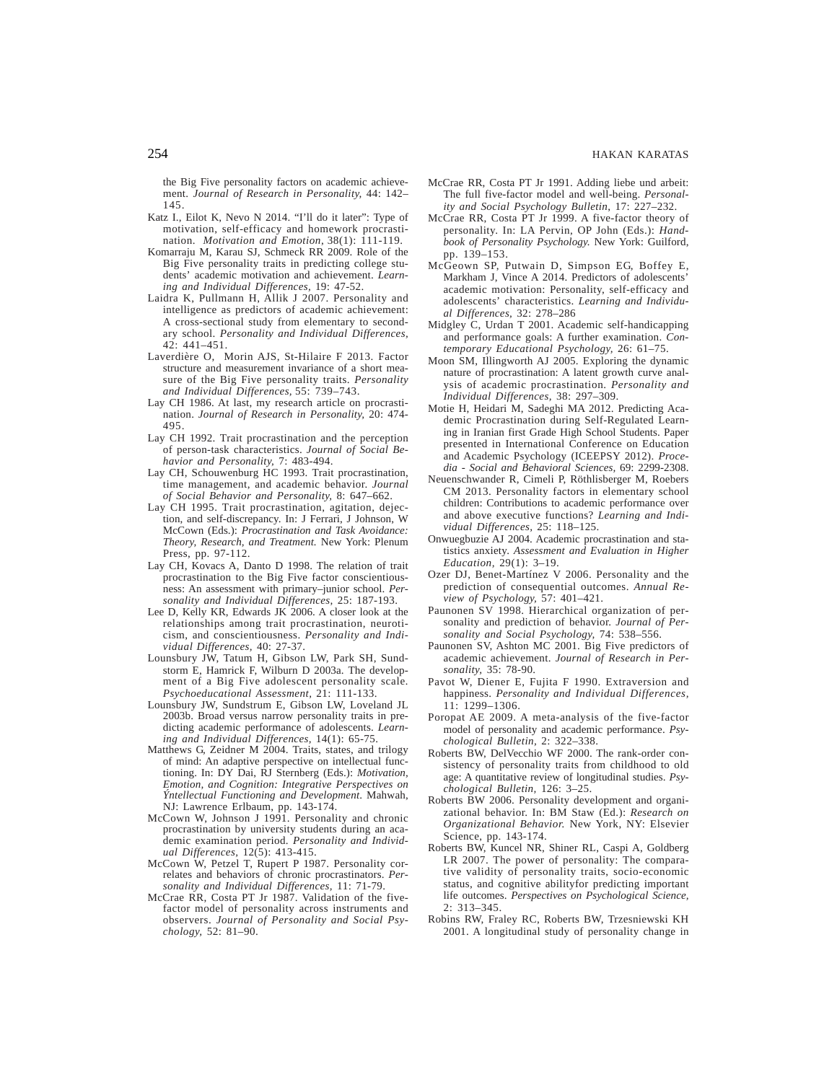the Big Five personality factors on academic achievement. *Journal of Research in Personality,* 44: 142– 145.

- Katz I., Eilot K, Nevo N 2014. "I'll do it later": Type of motivation, self-efficacy and homework procrastination. *Motivation and Emotion*, 38(1): 111-119.
- Komarraju M, Karau SJ, Schmeck RR 2009. Role of the Big Five personality traits in predicting college students' academic motivation and achievement. *Learning and Individual Differences,* 19: 47-52.
- Laidra K, Pullmann H, Allik J 2007. Personality and intelligence as predictors of academic achievement: A cross-sectional study from elementary to secondary school. *Personality and Individual Differences,* 42: 441–451.
- Laverdière O, Morin AJS, St-Hilaire F 2013. Factor structure and measurement invariance of a short measure of the Big Five personality traits. *Personality and Individual Differences,* 55: 739–743.
- Lay CH 1986. At last, my research article on procrastination. *Journal of Research in Personality,* 20: 474- 495.
- Lay CH 1992. Trait procrastination and the perception of person-task characteristics. *Journal of Social Behavior and Personality,* 7: 483-494.
- Lay CH, Schouwenburg HC 1993. Trait procrastination, time management, and academic behavior. *Journal of Social Behavior and Personality,* 8: 647–662.
- Lay CH 1995. Trait procrastination, agitation, dejection, and self-discrepancy. In: J Ferrari, J Johnson, W McCown (Eds.): *Procrastination and Task Avoidance: Theory, Research, and Treatment.* New York: Plenum Press, pp. 97-112.
- Lay CH, Kovacs A, Danto D 1998. The relation of trait procrastination to the Big Five factor conscientiousness: An assessment with primary–junior school. *Personality and Individual Differences,* 25: 187-193.
- Lee D, Kelly KR, Edwards JK 2006. A closer look at the relationships among trait procrastination, neuroticism, and conscientiousness. *Personality and Individual Differences,* 40: 27-37.
- Lounsbury JW, Tatum H, Gibson LW, Park SH, Sundstorm E, Hamrick F, Wilburn D 2003a. The development of a Big Five adolescent personality scale*. Psychoeducational Assessment,* 21: 111-133.
- Lounsbury JW, Sundstrum E, Gibson LW, Loveland JL 2003b. Broad versus narrow personality traits in predicting academic performance of adolescents. *Learning and Individual Differences,* 14(1): 65-75.
- Matthews G, Zeidner M 2004. Traits, states, and trilogy of mind: An adaptive perspective on intellectual functioning. In: DY Dai, RJ Sternberg (Eds.): *Motivation, Emotion, and Cognition: Integrative Perspectives on Ýntellectual Functioning and Development*. Mahwah, NJ: Lawrence Erlbaum, pp. 143-174.
- McCown W, Johnson J 1991. Personality and chronic procrastination by university students during an academic examination period. *Personality and Individual Differences,* 12(5): 413-415.
- McCown W, Petzel T, Rupert P 1987. Personality correlates and behaviors of chronic procrastinators. *Personality and Individual Differences,* 11: 71-79.
- McCrae RR, Costa PT Jr 1987. Validation of the fivefactor model of personality across instruments and observers. *Journal of Personality and Social Psychology,* 52: 81–90.
- McCrae RR, Costa PT Jr 1991. Adding liebe und arbeit: The full five-factor model and well-being. *Personality and Social Psychology Bulletin*, 17: 227–232.
- McCrae RR, Costa PT Jr 1999. A five-factor theory of personality. In: LA Pervin, OP John (Eds.): *Handbook of Personality Psychology.* New York: Guilford, pp. 139–153.
- McGeown SP, Putwain D, Simpson EG, Boffey E, Markham J, Vince A 2014. Predictors of adolescents' academic motivation: Personality, self-efficacy and adolescents' characteristics. *Learning and Individual Differences,* 32: 278–286
- Midgley C, Urdan T 2001. Academic self-handicapping and performance goals: A further examination. *Contemporary Educational Psychology,* 26: 61–75.
- Moon SM, Illingworth AJ 2005. Exploring the dynamic nature of procrastination: A latent growth curve analysis of academic procrastination. *Personality and Individual Differences,* 38: 297–309.
- Motie H, Heidari M, Sadeghi MA 2012. Predicting Academic Procrastination during Self-Regulated Learning in Iranian first Grade High School Students. Paper presented in International Conference on Education and Academic Psychology (ICEEPSY 2012). *Procedia - Social and Behavioral Sciences,* 69: 2299-2308.
- Neuenschwander R, Cimeli P, Röthlisberger M, Roebers CM 2013. Personality factors in elementary school children: Contributions to academic performance over and above executive functions? *Learning and Individual Differences,* 25: 118–125.
- Onwuegbuzie AJ 2004. Academic procrastination and statistics anxiety. *Assessment and Evaluation in Higher Education,* 29(1): 3–19.
- Ozer DJ, Benet-Martínez V 2006. Personality and the prediction of consequential outcomes. *Annual Review of Psychology,* 57: 401–421.
- Paunonen SV 1998. Hierarchical organization of personality and prediction of behavior. *Journal of Personality and Social Psychology,* 74: 538–556.
- Paunonen SV, Ashton MC 2001. Big Five predictors of academic achievement. *Journal of Research in Personality,* 35: 78-90.
- Pavot W, Diener E, Fujita F 1990. Extraversion and happiness. *Personality and Individual Differences,* 11: 1299–1306.
- Poropat AE 2009. A meta-analysis of the five-factor model of personality and academic performance. *Psychological Bulletin,* 2: 322–338.
- Roberts BW, DelVecchio WF 2000. The rank-order consistency of personality traits from childhood to old age: A quantitative review of longitudinal studies. *Psychological Bulletin,* 126: 3–25.
- Roberts BW 2006. Personality development and organizational behavior. In: BM Staw (Ed.): *Research on Organizational Behavior.* New York, NY: Elsevier Science, pp. 143-174.
- Roberts BW, Kuncel NR, Shiner RL, Caspi A, Goldberg LR 2007. The power of personality: The comparative validity of personality traits, socio-economic status, and cognitive abilityfor predicting important life outcomes. *Perspectives on Psychological Science,* 2: 313–345.
- Robins RW, Fraley RC, Roberts BW, Trzesniewski KH 2001. A longitudinal study of personality change in